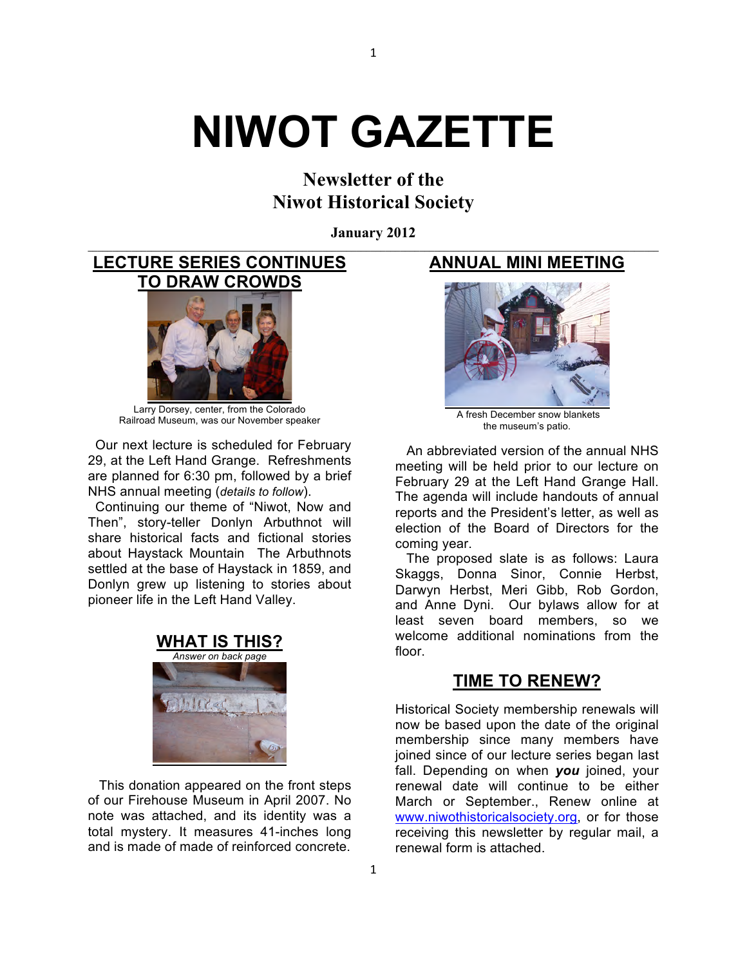# **NIWOT GAZETTE**

**Newsletter of the Niwot Historical Society**

**January 2012 \_\_\_\_\_\_\_\_\_\_\_\_\_\_\_\_\_\_\_\_\_\_\_\_\_\_\_\_\_\_\_\_\_\_\_\_\_\_\_\_\_\_\_\_\_\_\_\_\_\_\_\_\_\_\_\_\_\_\_\_\_\_\_\_\_\_\_\_\_\_\_\_\_\_\_\_\_\_\_\_\_\_\_\_\_\_\_\_\_\_\_\_\_\_\_\_\_\_\_\_\_\_\_\_\_\_\_\_\_\_\_\_\_\_\_\_\_**

1

**LECTURE SERIES CONTINUES TO DRAW CROWDS** 



Larry Dorsey, center, from the Colorado Railroad Museum, was our November speaker

 Our next lecture is scheduled for February 29, at the Left Hand Grange. Refreshments are planned for 6:30 pm, followed by a brief NHS annual meeting (*details to follow*).

 Continuing our theme of "Niwot, Now and Then", story-teller Donlyn Arbuthnot will share historical facts and fictional stories about Haystack Mountain The Arbuthnots settled at the base of Haystack in 1859, and Donlyn grew up listening to stories about pioneer life in the Left Hand Valley.



 This donation appeared on the front steps of our Firehouse Museum in April 2007. No note was attached, and its identity was a total mystery. It measures 41-inches long and is made of made of reinforced concrete.

### **ANNUAL MINI MEETING**



A fresh December snow blankets the museum's patio.

 An abbreviated version of the annual NHS meeting will be held prior to our lecture on February 29 at the Left Hand Grange Hall. The agenda will include handouts of annual reports and the President's letter, as well as election of the Board of Directors for the coming year.

 The proposed slate is as follows: Laura Skaggs, Donna Sinor, Connie Herbst, Darwyn Herbst, Meri Gibb, Rob Gordon, and Anne Dyni. Our bylaws allow for at least seven board members, so we welcome additional nominations from the floor.

## **TIME TO RENEW?**

Historical Society membership renewals will now be based upon the date of the original membership since many members have joined since of our lecture series began last fall. Depending on when *you* joined, your renewal date will continue to be either March or September., Renew online at www.niwothistoricalsociety.org, or for those receiving this newsletter by regular mail, a renewal form is attached.